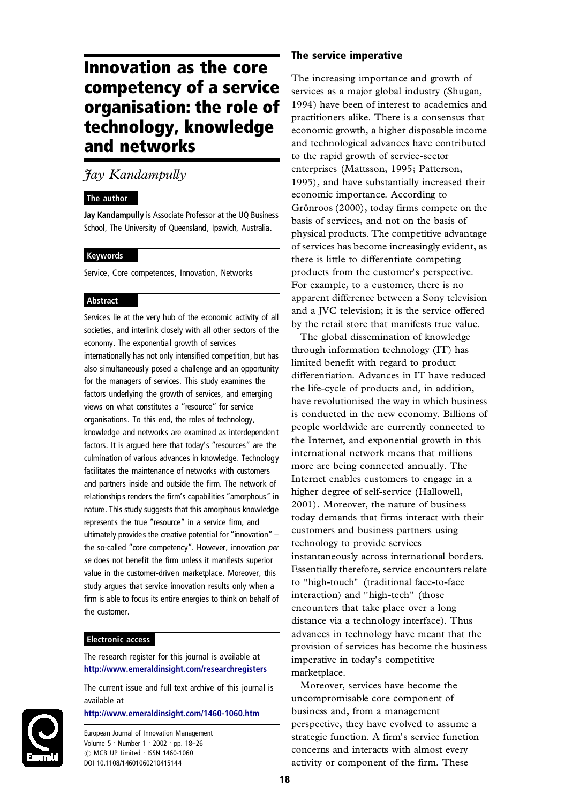# Innovation as the core competency of a service organisation: the role of technology, knowledge and networks

## *Jay Kandampully*

#### The author

Jay Kandampully is Associate Professor at the UQ Business School, The University of Queensland, Ipswich, Australia.

#### Keywords

Service, Core competences, Innovation, Networks

#### Abstract

Services lie at the very hub of the economic activity of all societies, and interlink closely with all other sectors of the economy. The exponential growth of services internationally has not only intensified competition, but has also simultaneously posed a challenge and an opportunity for the managers of services. This study examines the factors underlying the growth of services, and emerging views on what constitutes a ''resource'' for service organisations. To this end, the roles of technology, knowledge and networks are examined as interdependen t factors. It is argued here that today's ''resources'' are the culmination of various advances in knowledge. Technology facilitates the maintenance of networks with customers and partners inside and outside the firm. The network of relationships renders the firm's capabilities ''amorphous'' in nature. This study suggests that this amorphous knowledge represents the true ''resource'' in a service firm, and ultimately provides the creative potential for "innovation"  $$ the so-called ''core competency''. However, innovation *per se* does not benefit the firm unless it manifests superior value in the customer-driven marketplace. Moreover, this study argues that service innovation results only when a firm is able to focus its entire energies to think on behalf of the customer.

#### Electronic access

The research register for this journal is available at <http://www.emeraldinsight.com/researchregisters>

The current issue and full text archive of this journal is available at

<http://www.emeraldinsight.com/1460-1060.htm>



European Journal of Innovation Management Volume 5 · Number 1 · 2002 · pp. 18-26 © MCB UP Limited · ISSN 1460-1060 DOI 10.1108/14601060210415144

#### The service imperative

The increasing importance and growth of services as a major global industry (Shugan, 1994) have been of interest to academics and practitioners alike. There is a consensus that economic growth, a higher disposable income and technological advances have contributed to the rapid growth of service-sector enterprises Mattsson, 1995; Patterson, 1995), and have substantially increased their economic importance. According to Grönroos (2000), today firms compete on the basis of services, and not on the basis of physical products. The competitive advantage of services has become increasingly evident, as there is little to differentiate competing products from the customer's perspective. For example, to a customer, there is no apparent difference between a Sony television and a JVC television; it is the service offered by the retail store that manifests true value.

The global dissemination of knowledge through information technology  $(IT)$  has limited benefit with regard to product differentiation. Advances in IT have reduced the life-cycle of products and, in addition, have revolutionised the way in which business is conducted in the new economy. Billions of people worldwide are currently connected to the Internet, and exponential growth in this international network means that millions more are being connected annually. The Internet enables customers to engage in a higher degree of self-service (Hallowell, 2001). Moreover, the nature of business today demands that firms interact with their customers and business partners using technology to provide services instantaneously across international borders. Essentially therefore, service encounters relate to "high-touch" (traditional face-to-face interaction) and "high-tech" (those encounters that take place over a long distance via a technology interface). Thus advances in technology have meant that the provision of services has become the business imperative in today's competitive marketplace.

Moreover, services have become the uncompromisable core component of business and, from a management perspective, they have evolved to assume a strategic function. A firm's service function concerns and interacts with almost every activity or component of the firm. These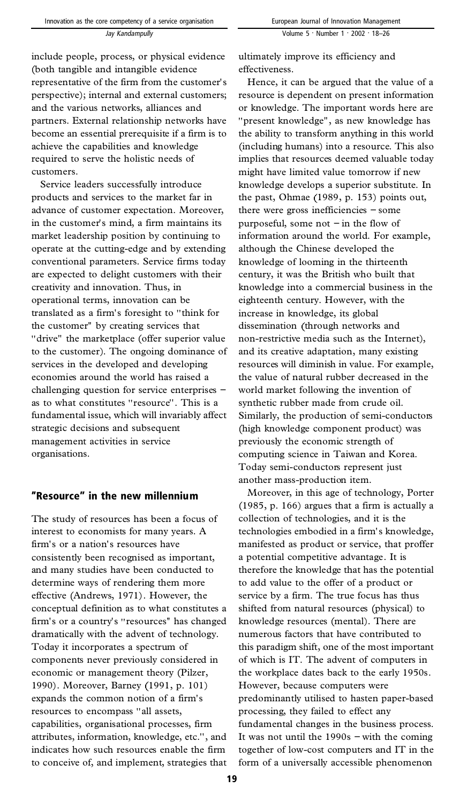*Jay Kandampully*

ultimately improve its efficiency and effectiveness.

include people, process, or physical evidence both tangible and intangible evidence representative of the firm from the customer's perspective); internal and external customers; and the various networks, alliances and partners. External relationship networks have become an essential prerequisite if a firm is to achieve the capabilities and knowledge required to serve the holistic needs of customers.

Service leaders successfully introduce products and services to the market far in advance of customer expectation. Moreover, in the customer's mind, a firm maintains its market leadership position by continuing to operate at the cutting-edge and by extending conventional parameters. Service firms today are expected to delight customers with their creativity and innovation. Thus, in operational terms, innovation can be translated as a firm's foresight to ''think for the customer'' by creating services that "drive" the marketplace (offer superior value to the customer). The ongoing dominance of services in the developed and developing economies around the world has raised a challenging question for service enterprises as to what constitutes ''resource''. This is a fundamental issue, which will invariably affect strategic decisions and subsequent management activities in service organisations.

## ''Resource'' in the new millennium

The study of resources has been a focus of interest to economists for many years. A firm's or a nation's resources have consistently been recognised as important, and many studies have been conducted to determine ways of rendering them more effective Andrews, 1971). However, the conceptual definition as to what constitutes a firm's or a country's ''resources'' has changed dramatically with the advent of technology. Today it incorporates a spectrum of components never previously considered in economic or management theory (Pilzer, 1990). Moreover, Barney 1991, p. 101) expands the common notion of a firm's resources to encompass ''all assets, capabilities, organisational processes, firm attributes, information, knowledge, etc.'', and indicates how such resources enable the firm to conceive of, and implement, strategies that

Hence, it can be argued that the value of a resource is dependent on present information or knowledge. The important words here are ''present knowledge'', as new knowledge has the ability to transform anything in this world including humans) into a resource. This also implies that resources deemed valuable today might have limited value tomorrow if new knowledge develops a superior substitute. In the past, Ohmae (1989, p. 153) points out, there were gross inefficiencies  $-$  some purposeful, some not  $\overline{-}$  in the flow of information around the world. For example, although the Chinese developed the knowledge of looming in the thirteenth century, it was the British who built that knowledge into a commercial business in the eighteenth century. However, with the increase in knowledge, its global dissemination (through networks and non-restrictive media such as the Internet), and its creative adaptation, many existing resources will diminish in value. For example, the value of natural rubber decreased in the world market following the invention of synthetic rubber made from crude oil. Similarly, the production of semi-conductors high knowledge component product) was previously the economic strength of computing science in Taiwan and Korea. Today semi-conductors represent just another mass-production item.

Moreover, in this age of technology, Porter 1985, p. 166) argues that a firm is actually a collection of technologies, and it is the technologies embodied in a firm's knowledge, manifested as product or service, that proffer a potential competitive advantage. It is therefore the knowledge that has the potential to add value to the offer of a product or service by a firm. The true focus has thus shifted from natural resources (physical) to knowledge resources (mental). There are numerous factors that have contributed to this paradigm shift, one of the most important of which is IT. The advent of computers in the workplace dates back to the early 1950s. However, because computers were predominantly utilised to hasten paper-based processing, they failed to effect any fundamental changes in the business process. It was not until the  $1990s$  – with the coming together of low-cost computers and IT in the form of a universally accessible phenomenon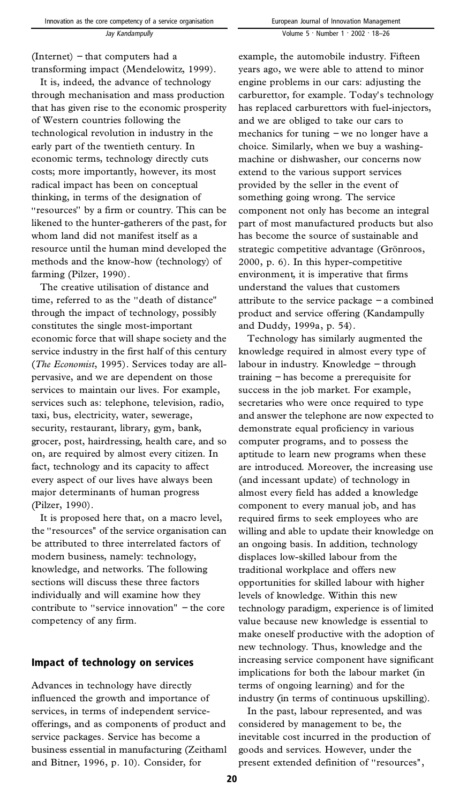$(Internet)$  – that computers had a transforming impact Mendelowitz, 1999).

It is, indeed, the advance of technology through mechanisation and mass production that has given rise to the economic prosperity of Western countries following the technological revolution in industry in the early part of the twentieth century. In economic terms, technology directly cuts costs; more importantly, however, its most radical impact has been on conceptual thinking, in terms of the designation of ''resources'' by a firm or country. This can be likened to the hunter-gatherers of the past, for whom land did not manifest itself as a resource until the human mind developed the methods and the know-how (technology) of farming (Pilzer, 1990).

The creative utilisation of distance and time, referred to as the ''death of distance'' through the impact of technology, possibly constitutes the single most-important economic force that will shape society and the service industry in the first half of this century *The Economist*, 1995). Services today are all pervasive, and we are dependent on those services to maintain our lives. For example, services such as: telephone, television, radio, taxi, bus, electricity, water, sewerage, security, restaurant, library, gym, bank, grocer, post, hairdressing, health care, and so on, are required by almost every citizen. In fact, technology and its capacity to affect every aspect of our lives have always been major determinants of human progress Pilzer, 1990).

It is proposed here that, on a macro level, the ''resources'' of the service organisation can be attributed to three interrelated factors of modern business, namely: technology, knowledge, and networks. The following sections will discuss these three factors individually and will examine how they contribute to "service innovation"  $-$  the core competency of any firm.

## Impact of technology on services

Advances in technology have directly influenced the growth and importance of services, in terms of independent service offerings, and as components of product and service packages. Service has become a business essential in manufacturing Zeithaml and Bitner, 1996, p. 10). Consider, for

example, the automobile industry. Fifteen years ago, we were able to attend to minor engine problems in our cars: adjusting the carburettor, for example. Today's technology has replaced carburettors with fuel-injectors, and we are obliged to take our cars to mechanics for tuning  $-we$  no longer have a choice. Similarly, when we buy a washing machine or dishwasher, our concerns now extend to the various support services provided by the seller in the event of something going wrong. The service component not only has become an integral part of most manufactured products but also has become the source of sustainable and strategic competitive advantage (Grönroos, 2000, p. 6). In this hyper-competitive environment, it is imperative that firms understand the values that customers attribute to the service package  $-a$  combined product and service offering (Kandampully and Duddy, 1999a, p. 54).

Technology has similarly augmented the knowledge required in almost every type of labour in industry. Knowledge  $-$  through training  $h$  has become a prerequisite for success in the job market. For example, secretaries who were once required to type and answer the telephone are now expected to demonstrate equal proficiency in various computer programs, and to possess the aptitude to learn new programs when these are introduced. Moreover, the increasing use and incessant update) of technology in almost every field has added a knowledge component to every manual job, and has required firms to seek employees who are willing and able to update their knowledge on an ongoing basis. In addition, technology displaces low-skilled labour from the traditional workplace and offers new opportunities for skilled labour with higher levels of knowledge. Within this new technology paradigm, experience is of limited value because new knowledge is essential to make oneself productive with the adoption of new technology. Thus, knowledge and the increasing service component have significant implications for both the labour market (in terms of ongoing learning) and for the industry (in terms of continuous upskilling).

In the past, labour represented, and was considered by management to be, the inevitable cost incurred in the production of goods and services. However, under the present extended definition of ''resources'',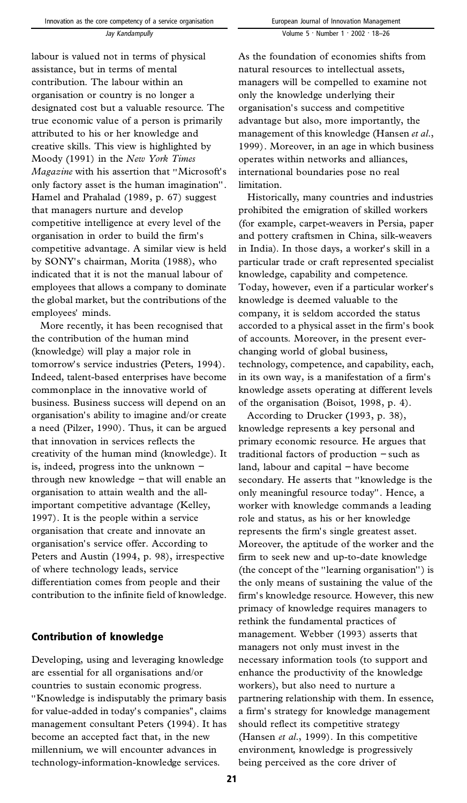labour is valued not in terms of physical assistance, but in terms of mental contribution. The labour within an organisation or country is no longer a designated cost but a valuable resource. The true economic value of a person is primarily attributed to his or her knowledge and creative skills. This view is highlighted by Moody 1991) in the *New York Times Magazine* with his assertion that ''Microsoft's only factory asset is the human imagination''. Hamel and Prahalad (1989, p. 67) suggest that managers nurture and develop competitive intelligence at every level of the organisation in order to build the firm's competitive advantage. A similar view is held by SONY's chairman, Morita (1988), who indicated that it is not the manual labour of employees that allows a company to dominate the global market, but the contributions of the employees' minds.

More recently, it has been recognised that the contribution of the human mind knowledge) will play a major role in tomorrow's service industries (Peters, 1994). Indeed, talent-based enterprises have become commonplace in the innovative world of business. Business success will depend on an organisation's ability to imagine and/or create a need Pilzer, 1990). Thus, it can be argued that innovation in services reflects the creativity of the human mind (knowledge). It is, indeed, progress into the unknown through new knowledge  $-$  that will enable an organisation to attain wealth and the allimportant competitive advantage (Kelley, 1997). It is the people within a service organisation that create and innovate an organisation's service offer. According to Peters and Austin (1994, p. 98), irrespective of where technology leads, service differentiation comes from people and their contribution to the infinite field of knowledge.

#### Contribution of knowledge

Developing, using and leveraging knowledge are essential for all organisations and/or countries to sustain economic progress. ''Knowledge is indisputably the primary basis for value-added in today's companies'', claims management consultant Peters (1994). It has become an accepted fact that, in the new millennium, we will encounter advances in technology-information-knowledge services.

As the foundation of economies shifts from natural resources to intellectual assets, managers will be compelled to examine not only the knowledge underlying their organisation's success and competitive advantage but also, more importantly, the management of this knowledge (Hansen et al., 1999). Moreover, in an age in which business operates within networks and alliances, international boundaries pose no real limitation.

Historically, many countries and industries prohibited the emigration of skilled workers for example, carpet-weavers in Persia, paper and pottery craftsmen in China, silk-weavers in India). In those days, a worker's skill in a particular trade or craft represented specialist knowledge, capability and competence. Today, however, even if a particular worker's knowledge is deemed valuable to the company, it is seldom accorded the status accorded to a physical asset in the firm's book of accounts. Moreover, in the present ever changing world of global business, technology, competence, and capability, each, in its own way, is a manifestation of a firm's knowledge assets operating at different levels of the organisation (Boisot, 1998, p. 4).

According to Drucker (1993, p. 38), knowledge represents a key personal and primary economic resource. He argues that traditional factors of production  $-$  such as land, labour and capital  $-$  have become secondary. He asserts that ''knowledge is the only meaningful resource today''. Hence, a worker with knowledge commands a leading role and status, as his or her knowledge represents the firm's single greatest asset. Moreover, the aptitude of the worker and the firm to seek new and up-to-date knowledge (the concept of the "learning organisation") is the only means of sustaining the value of the firm's knowledge resource. However, this new primacy of knowledge requires managers to rethink the fundamental practices of management. Webber (1993) asserts that managers not only must invest in the necessary information tools (to support and enhance the productivity of the knowledge workers), but also need to nurture a partnering relationship with them. In essence, a firm's strategy for knowledge management should reflect its competitive strategy Hansen *et al*., 1999). In this competitive environment, knowledge is progressively being perceived as the core driver of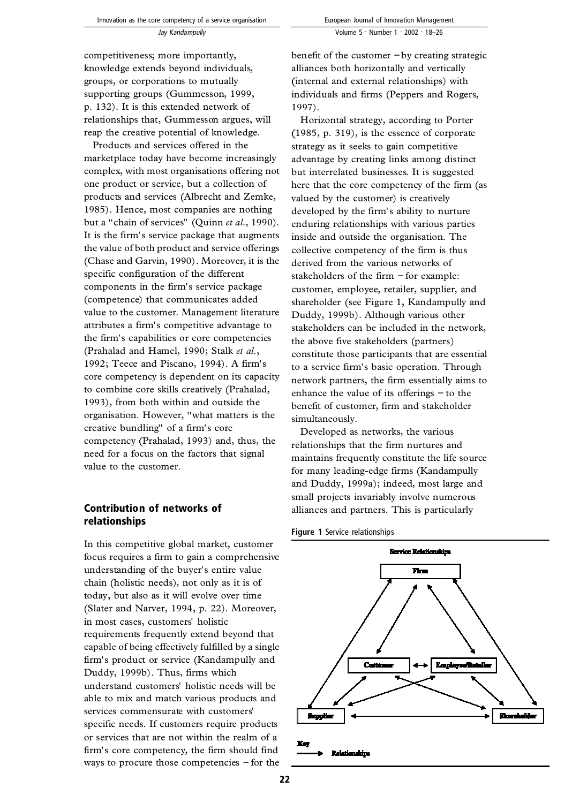*Jay Kandampully*

competitiveness; more importantly, knowledge extends beyond individuals, groups, or corporations to mutually supporting groups Gummesson, 1999, p. 132). It is this extended network of relationships that, Gummesson argues, will reap the creative potential of knowledge.

Products and services offered in the marketplace today have become increasingly complex, with most organisations offering not one product or service, but a collection of products and services Albrecht and Zemke, 1985). Hence, most companies are nothing but a "chain of services" (Quinn et al., 1990). It is the firm's service package that augments the value of both product and service offerings Chase and Garvin, 1990). Moreover, it is the specific configuration of the different components in the firm's service package competence) that communicates added value to the customer. Management literature attributes a firm's competitive advantage to the firm's capabilities or core competencies Prahalad and Hamel, 1990; Stalk *et al*., 1992; Teece and Piscano, 1994). A firm's core competency is dependent on its capacity to combine core skills creatively (Prahalad, 1993), from both within and outside the organisation. However, ''what matters is the creative bundling'' of a firm's core competency (Prahalad, 1993) and, thus, the need for a focus on the factors that signal value to the customer.

## Contribution of networks of relationships

In this competitive global market, customer focus requires a firm to gain a comprehensive understanding of the buyer's entire value chain (holistic needs), not only as it is of today, but also as it will evolve over time Slater and Narver, 1994, p. 22). Moreover, in most cases, customers' holistic requirements frequently extend beyond that capable of being effectively fulfilled by a single firm's product or service Kandampully and Duddy, 1999b). Thus, firms which understand customers' holistic needs will be able to mix and match various products and services commensurate with customers' specific needs. If customers require products or services that are not within the realm of a firm's core competency, the firm should find ways to procure those competencies  $-$  for the

benefit of the customer  $-$  by creating strategic alliances both horizontally and vertically internal and external relationships) with individuals and firms (Peppers and Rogers, 1997).

Horizontal strategy, according to Porter 1985, p. 319), is the essence of corporate strategy as it seeks to gain competitive advantage by creating links among distinct but interrelated businesses. It is suggested here that the core competency of the firm (as valued by the customer) is creatively developed by the firm's ability to nurture enduring relationships with various parties inside and outside the organisation. The collective competency of the firm is thus derived from the various networks of stakeholders of the firm  $-$  for example: customer, employee, retailer, supplier, and shareholder (see Figure 1, Kandampully and Duddy, 1999b). Although various other stakeholders can be included in the network, the above five stakeholders (partners) constitute those participants that are essential to a service firm's basic operation. Through network partners, the firm essentially aims to enhance the value of its offerings  $-$  to the benefit of customer, firm and stakeholder simultaneously.

Developed as networks, the various relationships that the firm nurtures and maintains frequently constitute the life source for many leading-edge firms (Kandampully and Duddy, 1999a); indeed, most large and small projects invariably involve numerous alliances and partners. This is particularly



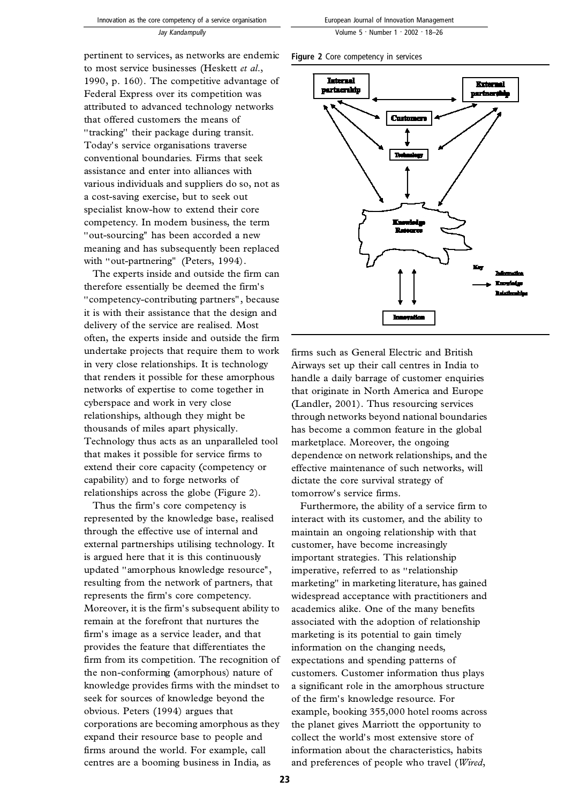pertinent to services, as networks are endemic to most service businesses Heskett *et al*., 1990, p. 160). The competitive advantage of Federal Express over its competition was attributed to advanced technology networks that offered customers the means of ''tracking'' their package during transit. Today's service organisations traverse conventional boundaries. Firms that seek assistance and enter into alliances with various individuals and suppliers do so, not as a cost-saving exercise, but to seek out specialist know-how to extend their core competency. In modern business, the term ''out-sourcing'' has been accorded a new meaning and has subsequently been replaced with "out-partnering" (Peters, 1994).

The experts inside and outside the firm can therefore essentially be deemed the firm's ''competency-contributing partners'', because it is with their assistance that the design and delivery of the service are realised. Most often, the experts inside and outside the firm undertake projects that require them to work in very close relationships. It is technology that renders it possible for these amorphous networks of expertise to come together in cyberspace and work in very close relationships, although they might be thousands of miles apart physically. Technology thus acts as an unparalleled tool that makes it possible for service firms to extend their core capacity (competency or capability) and to forge networks of relationships across the globe (Figure 2).

Thus the firm's core competency is represented by the knowledge base, realised through the effective use of internal and external partnerships utilising technology. It is argued here that it is this continuously updated ''amorphous knowledge resource'', resulting from the network of partners, that represents the firm's core competency. Moreover, it is the firm's subsequent ability to remain at the forefront that nurtures the firm's image as a service leader, and that provides the feature that differentiates the firm from its competition. The recognition of the non-conforming (amorphous) nature of knowledge provides firms with the mindset to seek for sources of knowledge beyond the obvious. Peters (1994) argues that corporations are becoming amorphous as they expand their resource base to people and firms around the world. For example, call centres are a booming business in India, as

#### Figure 2 Core competency in services



firms such as General Electric and British Airways set up their call centres in India to handle a daily barrage of customer enquiries that originate in North America and Europe Landler, 2001). Thus resourcing services through networks beyond national boundaries has become a common feature in the global marketplace. Moreover, the ongoing dependence on network relationships, and the effective maintenance of such networks, will dictate the core survival strategy of tomorrow's service firms.

Furthermore, the ability of a service firm to interact with its customer, and the ability to maintain an ongoing relationship with that customer, have become increasingly important strategies. This relationship imperative, referred to as ''relationship marketing'' in marketing literature, has gained widespread acceptance with practitioners and academics alike. One of the many benefits associated with the adoption of relationship marketing is its potential to gain timely information on the changing needs, expectations and spending patterns of customers. Customer information thus plays a significant role in the amorphous structure of the firm's knowledge resource. For example, booking 355,000 hotel rooms across the planet gives Marriott the opportunity to collect the world's most extensive store of information about the characteristics, habits and preferences of people who travel *Wired*,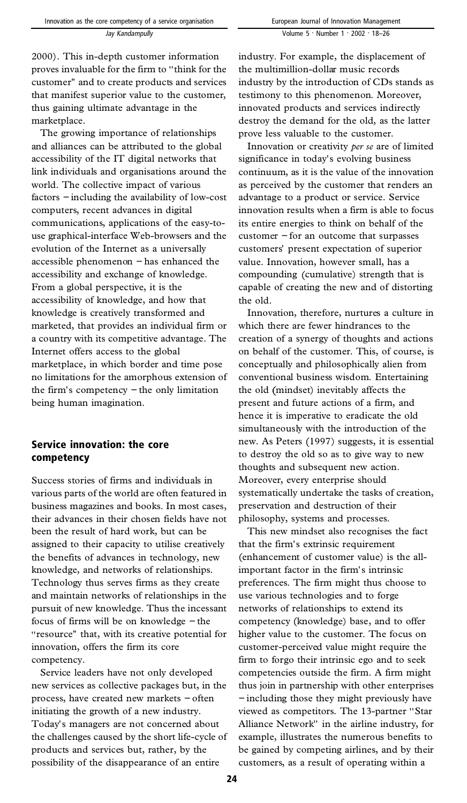2000). This in-depth customer information proves invaluable for the firm to ''think for the customer'' and to create products and services that manifest superior value to the customer, thus gaining ultimate advantage in the marketplace.

The growing importance of relationships and alliances can be attributed to the global accessibility of the IT digital networks that link individuals and organisations around the world. The collective impact of various factors  $\overline{\phantom{a}}$  -including the availability of low-cost computers, recent advances in digital communications, applications of the easy-to use graphical-interface Web-browsers and the evolution of the Internet as a universally accessible phenomenon - has enhanced the accessibility and exchange of knowledge. From a global perspective, it is the accessibility of knowledge, and how that knowledge is creatively transformed and marketed, that provides an individual firm or a country with its competitive advantage. The Internet offers access to the global marketplace, in which border and time pose no limitations for the amorphous extension of the firm's competency  $-\text{ the only limitation}$ being human imagination.

### Service innovation: the core competency

Success stories of firms and individuals in various parts of the world are often featured in business magazines and books. In most cases, their advances in their chosen fields have not been the result of hard work, but can be assigned to their capacity to utilise creatively the benefits of advances in technology, new knowledge, and networks of relationships. Technology thus serves firms as they create and maintain networks of relationships in the pursuit of new knowledge. Thus the incessant focus of firms will be on knowledge  $-$  the ''resource'' that, with its creative potential for innovation, offers the firm its core competency.

Service leaders have not only developed new services as collective packages but, in the process, have created new markets  $-$  often initiating the growth of a new industry. Today's managers are not concerned about the challenges caused by the short life-cycle of products and services but, rather, by the possibility of the disappearance of an entire

industry. For example, the displacement of the multimillion-dollar music records industry by the introduction of CDs stands as testimony to this phenomenon. Moreover, innovated products and services indirectly destroy the demand for the old, as the latter prove less valuable to the customer.

Innovation or creativity *per se* are of limited significance in today's evolving business continuum, as it is the value of the innovation as perceived by the customer that renders an advantage to a product or service. Service innovation results when a firm is able to focus its entire energies to think on behalf of the  $\text{customer} - \text{for an outcome that surpasses}$ customers' present expectation of superior value. Innovation, however small, has a compounding cumulative) strength that is capable of creating the new and of distorting the old.

Innovation, therefore, nurtures a culture in which there are fewer hindrances to the creation of a synergy of thoughts and actions on behalf of the customer. This, of course, is conceptually and philosophically alien from conventional business wisdom. Entertaining the old mindset) inevitably affects the present and future actions of a firm, and hence it is imperative to eradicate the old simultaneously with the introduction of the new. As Peters (1997) suggests, it is essential to destroy the old so as to give way to new thoughts and subsequent new action. Moreover, every enterprise should systematically undertake the tasks of creation, preservation and destruction of their philosophy, systems and processes.

This new mindset also recognises the fact that the firm's extrinsic requirement enhancement of customer value) is the allimportant factor in the firm's intrinsic preferences. The firm might thus choose to use various technologies and to forge networks of relationships to extend its competency knowledge) base, and to offer higher value to the customer. The focus on customer-perceived value might require the firm to forgo their intrinsic ego and to seek competencies outside the firm. A firm might thus join in partnership with other enterprises - including those they might previously have viewed as competitors. The 13-partner ''Star Alliance Network'' in the airline industry, for example, illustrates the numerous benefits to be gained by competing airlines, and by their customers, as a result of operating within a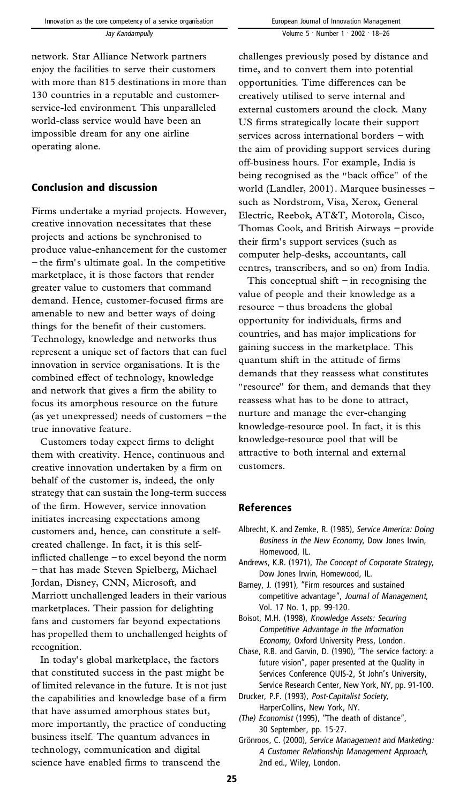network. Star Alliance Network partners enjoy the facilities to serve their customers with more than 815 destinations in more than 130 countries in a reputable and customerservice-led environment. This unparalleled world-class service would have been an impossible dream for any one airline operating alone.

## Conclusion and discussion

Firms undertake a myriad projects. However, creative innovation necessitates that these projects and actions be synchronised to produce value-enhancement for the customer  $-$  the firm's ultimate goal. In the competitive marketplace, it is those factors that render greater value to customers that command demand. Hence, customer-focused firms are amenable to new and better ways of doing things for the benefit of their customers. Technology, knowledge and networks thus represent a unique set of factors that can fuel innovation in service organisations. It is the combined effect of technology, knowledge and network that gives a firm the ability to focus its amorphous resource on the future (as yet unexpressed) needs of customers  $-th$ true innovative feature.

Customers today expect firms to delight them with creativity. Hence, continuous and creative innovation undertaken by a firm on behalf of the customer is, indeed, the only strategy that can sustain the long-term success of the firm. However, service innovation initiates increasing expectations among customers and, hence, can constitute a self created challenge. In fact, it is this selfinflicted challenge  $-$  to excel beyond the norm - that has made Steven Spielberg, Michael Jordan, Disney, CNN, Microsoft, and Marriott unchallenged leaders in their various marketplaces. Their passion for delighting fans and customers far beyond expectations has propelled them to unchallenged heights of recognition.

In today's global marketplace, the factors that constituted success in the past might be of limited relevance in the future. It is not just the capabilities and knowledge base of a firm that have assumed amorphous states but, more importantly, the practice of conducting business itself. The quantum advances in technology, communication and digital science have enabled firms to transcend the

challenges previously posed by distance and time, and to convert them into potential opportunities. Time differences can be creatively utilised to serve internal and external customers around the clock. Many US firms strategically locate their support services across international borders  $-$  with the aim of providing support services during off-business hours. For example, India is being recognised as the ''back office'' of the world (Landler, 2001). Marquee businesses such as Nordstrom, Visa, Xerox, General Electric, Reebok, AT&T, Motorola, Cisco, Thomas Cook, and British Airways - provide their firm's support services (such as computer help-desks, accountants, call centres, transcribers, and so on) from India.

This conceptual shift  $\overline{\phantom{a}}$  in recognising the value of people and their knowledge as a  $resource - thus broadens the global$ opportunity for individuals, firms and countries, and has major implications for gaining success in the marketplace. This quantum shift in the attitude of firms demands that they reassess what constitutes ''resource'' for them, and demands that they reassess what has to be done to attract, nurture and manage the ever-changing knowledge-resource pool. In fact, it is this knowledge-resource pool that will be attractive to both internal and external customers.

## References

- Albrecht, K. and Zemke, R. (1985), *Service America: Doing Business in the New Economy*, Dow Jones Irwin, Homewood, IL.
- Andrews, K.R. (1971), *The Concept of Corporate Strategy*, Dow Jones Irwin, Homewood, IL.
- Barney, J. (1991), "Firm resources and sustained competitive advantage'', *Journal of Management*, Vol. 17 No. 1, pp. 99-120.
- Boisot, M.H. (1998), *Knowledge Assets: Securing Competitive Advantage in the Information Economy*, Oxford University Press, London.
- Chase, R.B. and Garvin, D. (1990), ''The service factory: a future vision'', paper presented at the Quality in Services Conference QUIS-2, St John's University, Service Research Center, New York, NY, pp. 91-100.
- Drucker, P.F. (1993), *Post-Capitalist Society*, HarperCollins, New York, NY.
- *(The) Economist* (1995), ''The death of distance'', 30 September, pp. 15-27.
- Grönroos, C. (2000), Service Management and Marketing: *A Customer Relationship Management Approach*, 2nd ed., Wiley, London.